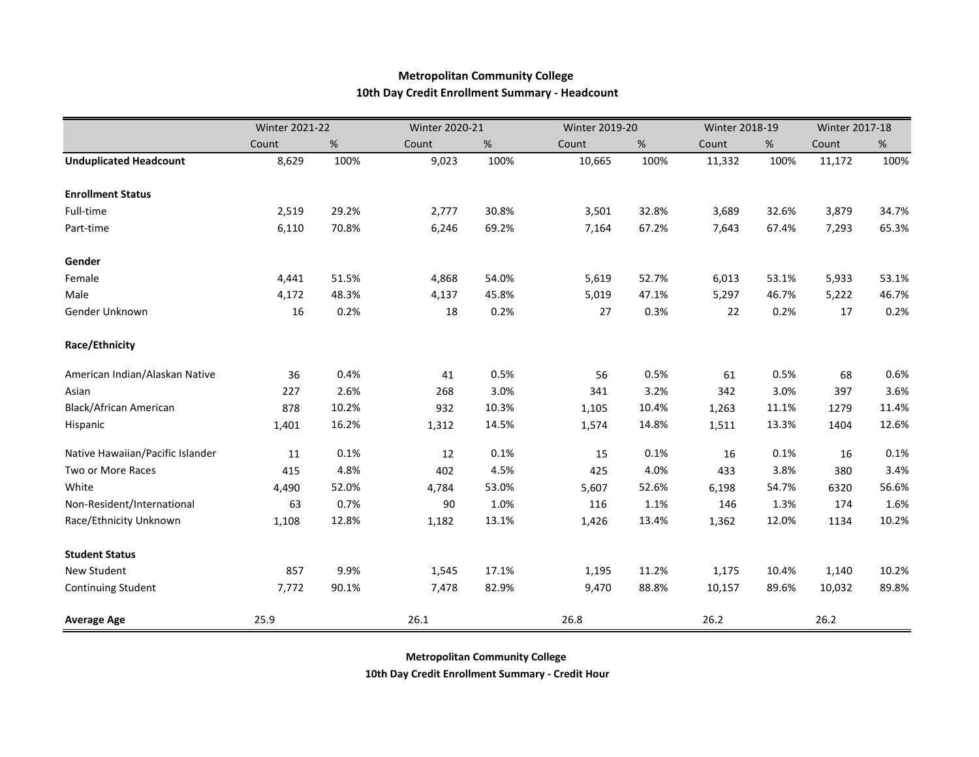## **Metropolitan Community College 10th Day Credit Enrollment Summary - Headcount**

|                                  | <b>Winter 2021-22</b> |       | Winter 2020-21 |       | Winter 2019-20 |       | Winter 2018-19 |       | Winter 2017-18 |       |
|----------------------------------|-----------------------|-------|----------------|-------|----------------|-------|----------------|-------|----------------|-------|
|                                  | Count                 | %     | Count          | %     | Count          | %     | Count          | %     | Count          | %     |
| <b>Unduplicated Headcount</b>    | 8,629                 | 100%  | 9,023          | 100%  | 10,665         | 100%  | 11,332         | 100%  | 11,172         | 100%  |
| <b>Enrollment Status</b>         |                       |       |                |       |                |       |                |       |                |       |
| Full-time                        | 2,519                 | 29.2% | 2,777          | 30.8% | 3,501          | 32.8% | 3,689          | 32.6% | 3,879          | 34.7% |
| Part-time                        | 6,110                 | 70.8% | 6,246          | 69.2% | 7,164          | 67.2% | 7,643          | 67.4% | 7,293          | 65.3% |
| Gender                           |                       |       |                |       |                |       |                |       |                |       |
| Female                           | 4,441                 | 51.5% | 4,868          | 54.0% | 5,619          | 52.7% | 6,013          | 53.1% | 5,933          | 53.1% |
| Male                             | 4,172                 | 48.3% | 4,137          | 45.8% | 5,019          | 47.1% | 5,297          | 46.7% | 5,222          | 46.7% |
| Gender Unknown                   | 16                    | 0.2%  | 18             | 0.2%  | 27             | 0.3%  | 22             | 0.2%  | 17             | 0.2%  |
| Race/Ethnicity                   |                       |       |                |       |                |       |                |       |                |       |
| American Indian/Alaskan Native   | 36                    | 0.4%  | 41             | 0.5%  | 56             | 0.5%  | 61             | 0.5%  | 68             | 0.6%  |
| Asian                            | 227                   | 2.6%  | 268            | 3.0%  | 341            | 3.2%  | 342            | 3.0%  | 397            | 3.6%  |
| Black/African American           | 878                   | 10.2% | 932            | 10.3% | 1,105          | 10.4% | 1,263          | 11.1% | 1279           | 11.4% |
| Hispanic                         | 1,401                 | 16.2% | 1,312          | 14.5% | 1,574          | 14.8% | 1,511          | 13.3% | 1404           | 12.6% |
| Native Hawaiian/Pacific Islander | 11                    | 0.1%  | 12             | 0.1%  | 15             | 0.1%  | 16             | 0.1%  | 16             | 0.1%  |
| Two or More Races                | 415                   | 4.8%  | 402            | 4.5%  | 425            | 4.0%  | 433            | 3.8%  | 380            | 3.4%  |
| White                            | 4,490                 | 52.0% | 4,784          | 53.0% | 5,607          | 52.6% | 6,198          | 54.7% | 6320           | 56.6% |
| Non-Resident/International       | 63                    | 0.7%  | 90             | 1.0%  | 116            | 1.1%  | 146            | 1.3%  | 174            | 1.6%  |
| Race/Ethnicity Unknown           | 1,108                 | 12.8% | 1,182          | 13.1% | 1,426          | 13.4% | 1,362          | 12.0% | 1134           | 10.2% |
| <b>Student Status</b>            |                       |       |                |       |                |       |                |       |                |       |
| New Student                      | 857                   | 9.9%  | 1,545          | 17.1% | 1,195          | 11.2% | 1,175          | 10.4% | 1,140          | 10.2% |
| <b>Continuing Student</b>        | 7,772                 | 90.1% | 7,478          | 82.9% | 9,470          | 88.8% | 10,157         | 89.6% | 10,032         | 89.8% |
| <b>Average Age</b>               | 25.9                  |       | 26.1           |       | 26.8           |       | 26.2           |       | 26.2           |       |

**Metropolitan Community College** 

**10th Day Credit Enrollment Summary - Credit Hour**